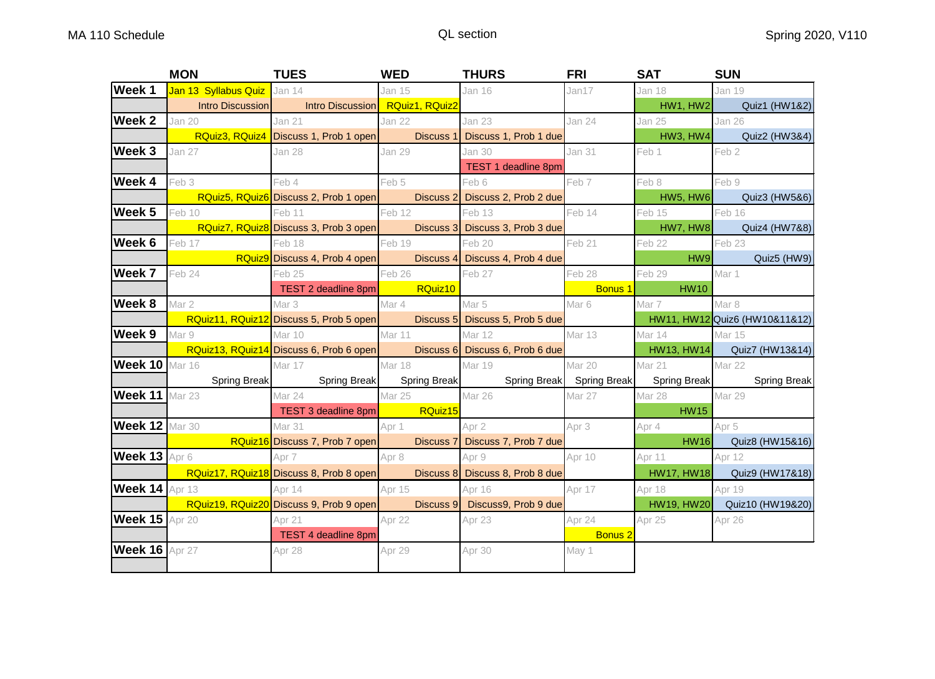|                       | <b>MON</b>                  | <b>TUES</b>                                                                                             | <b>WED</b>    | <b>THURS</b>                    | <b>FRI</b>     | <b>SAT</b>                                                                                                                                                                                                                          | <b>SUN</b>                             |
|-----------------------|-----------------------------|---------------------------------------------------------------------------------------------------------|---------------|---------------------------------|----------------|-------------------------------------------------------------------------------------------------------------------------------------------------------------------------------------------------------------------------------------|----------------------------------------|
| Week 1                | Jan 13 Syllabus Quiz Jan 14 |                                                                                                         | Jan 15        | <b>Jan 16</b>                   | Jan17          | Jan 18                                                                                                                                                                                                                              | <b>Jan 19</b>                          |
|                       |                             | Intro Discussion   Intro Discussion   RQuiz1, RQuiz2                                                    |               |                                 |                | HW1, HW2                                                                                                                                                                                                                            | Quiz1 (HW1&2)                          |
| Week 2                | Jan 20                      | Jan 21                                                                                                  | Jan 22        | <b>Jan 23</b>                   | Jan 24         | Jan 25                                                                                                                                                                                                                              | Jan 26                                 |
|                       |                             | RQuiz3, RQuiz4 Discuss 1, Prob 1 open Discuss 1 Discuss 1, Prob 1 due                                   |               |                                 |                | <b>HW3, HW4</b>                                                                                                                                                                                                                     | Quiz2 (HW3&4)                          |
| Week 3                | <b>Jan 27</b>               | Jan 28                                                                                                  | <b>Jan 29</b> | Jan 30                          | <b>Jan 31</b>  | Feb 1                                                                                                                                                                                                                               | Feb 2                                  |
|                       |                             |                                                                                                         |               | TEST 1 deadline 8pm             |                |                                                                                                                                                                                                                                     |                                        |
| Week 4                | Feb 3                       | Feb 4                                                                                                   | Feb 5         | Feb 6                           | Feb 7          | Feb 8                                                                                                                                                                                                                               | Feb 9                                  |
|                       |                             | RQuiz5, RQuiz6 Discuss 2, Prob 1 open                                                                   |               | Discuss 2 Discuss 2, Prob 2 due |                | <b>HW5, HW6</b>                                                                                                                                                                                                                     | Quiz3 (HW5&6)                          |
| Week 5                | Feb 10                      | Feb 12<br>Feb 11                                                                                        |               | Feb 13                          | Feb 14         | Feb 15                                                                                                                                                                                                                              | Feb 16                                 |
|                       |                             | RQuiz7, RQuiz8 Discuss 3, Prob 3 open Discuss 3 Discuss 3, Prob 3 due                                   |               |                                 |                | HW7, HW8                                                                                                                                                                                                                            | Quiz4 (HW7&8)                          |
| Week 6                | Feb 17                      | Feb 19<br>Feb 18                                                                                        |               | Feb 20                          | Feb 21         | Feb 22                                                                                                                                                                                                                              | Feb 23                                 |
|                       |                             | RQuiz9 Discuss 4, Prob 4 open Discuss 4 Discuss 4, Prob 4 due                                           |               |                                 |                |                                                                                                                                                                                                                                     | HW9 <b>NEW</b><br>Quiz5 (HW9)          |
| Week 7                | Feb 24                      | Feb 25                                                                                                  | Feb 26        | Feb 27                          | Feb 28         | Feb 29                                                                                                                                                                                                                              | Mar 1                                  |
|                       |                             | TEST 2 deadline 8pm RQuiz10                                                                             |               |                                 |                | <b>Example 1</b> Bonus 1 Bonus 1 Bonus 1 Bonus 1 Bonus 1 Bonus 1 Bonus 1 Bonus 1 Bonus 1 Bonus 1 Bonus 1 Bonus 1 Bonus 1 Bonus 1 Bonus 1 Bonus 1 Bonus 1 Bonus 1 Bonus 1 Bonus 1 Bonus 1 Bonus 1 Bonus 1 Bonus 1 Bonus 1 Bonus 1 Bo |                                        |
| Week 8                | Mar 2                       | Mar 3                                                                                                   | Mar 4         | Mar 5                           | Mar 6          | Mar 7                                                                                                                                                                                                                               | Mar 8                                  |
|                       |                             | RQuiz11, RQuiz12 Discuss 5, Prob 5 open Discuss 5 Discuss 5, Prob 5 due                                 |               |                                 |                |                                                                                                                                                                                                                                     | HW11, HW12 Quiz6 (HW10&11&12)          |
|                       | <b>Week 9</b> Mar 9         | Mar 10                                                                                                  | Mar 11        | <b>Mar 12</b>                   | Mar 13         | Mar 14                                                                                                                                                                                                                              | <b>Mar 15</b>                          |
|                       |                             | RQuiz13, RQuiz14 Discuss 6, Prob 6 open Discuss 6 Discuss 6, Prob 6 due                                 |               |                                 |                |                                                                                                                                                                                                                                     | HW13, HW14 Quiz7 (HW13&14)             |
|                       | <b>Week 10 Mar 16</b>       | Mar 17                                                                                                  | <b>Mar 18</b> | Mar 19                          | Mar 20         | Mar 21                                                                                                                                                                                                                              | Mar 22                                 |
|                       |                             | Spring Break Spring Break Spring Break Spring Break Spring Break Spring Break Spring Break Spring Break |               |                                 |                |                                                                                                                                                                                                                                     |                                        |
| Week 11 Mar 23        |                             | Mar 24                                                                                                  | <b>Mar 25</b> | Mar 26                          | Mar 27         | <b>Mar 28</b>                                                                                                                                                                                                                       | Mar 29                                 |
|                       |                             | TEST 3 deadline 8pm RQuiz15                                                                             |               |                                 |                | <b>HW15</b>                                                                                                                                                                                                                         |                                        |
| Week 12 Mar 30        |                             | <b>Mar 31</b>                                                                                           | Apr 1         | Apr 2                           | Apr 3          | Apr 4                                                                                                                                                                                                                               | Apr 5                                  |
|                       |                             | <b>Example 10 RQuiz16</b> Discuss 7, Prob 7 open                                                        |               | Discuss 7 Discuss 7, Prob 7 due |                |                                                                                                                                                                                                                                     | <b>Example 18 HW16</b> Quiz8 (HW15&16) |
|                       | Week 13 Apr 6               | Apr 7                                                                                                   | Apr 8         | Apr 9                           | Apr 10         | Apr 11                                                                                                                                                                                                                              | Apr 12                                 |
|                       |                             | RQuiz17, RQuiz18 Discuss 8, Prob 8 open Discuss 8 Discuss 8, Prob 8 due                                 |               |                                 |                |                                                                                                                                                                                                                                     | HW17, HW18 Quiz9 (HW17&18)             |
|                       | Week 14 Apr 13              | Apr 14<br>Apr 15                                                                                        |               | Apr 16                          | Apr 17         | Apr 18                                                                                                                                                                                                                              | Apr 19                                 |
|                       |                             | RQuiz19, RQuiz20 Discuss 9, Prob 9 open Discuss 9 Discuss9, Prob 9 due                                  |               |                                 |                |                                                                                                                                                                                                                                     | HW19, HW20 Quiz10 (HW19&20)            |
| <b>Week 15 Apr 20</b> |                             | Apr 21                                                                                                  | Apr 22        | Apr 23                          | Apr 24         | Apr 25                                                                                                                                                                                                                              | Apr 26                                 |
|                       |                             | <b>TEST 4 deadline 8pm</b>                                                                              |               |                                 | <b>Bonus 2</b> |                                                                                                                                                                                                                                     |                                        |
| <b>Week 16 Apr 27</b> |                             | Apr 28                                                                                                  | Apr 29        | Apr 30                          | May 1          |                                                                                                                                                                                                                                     |                                        |
|                       |                             |                                                                                                         |               |                                 |                |                                                                                                                                                                                                                                     |                                        |